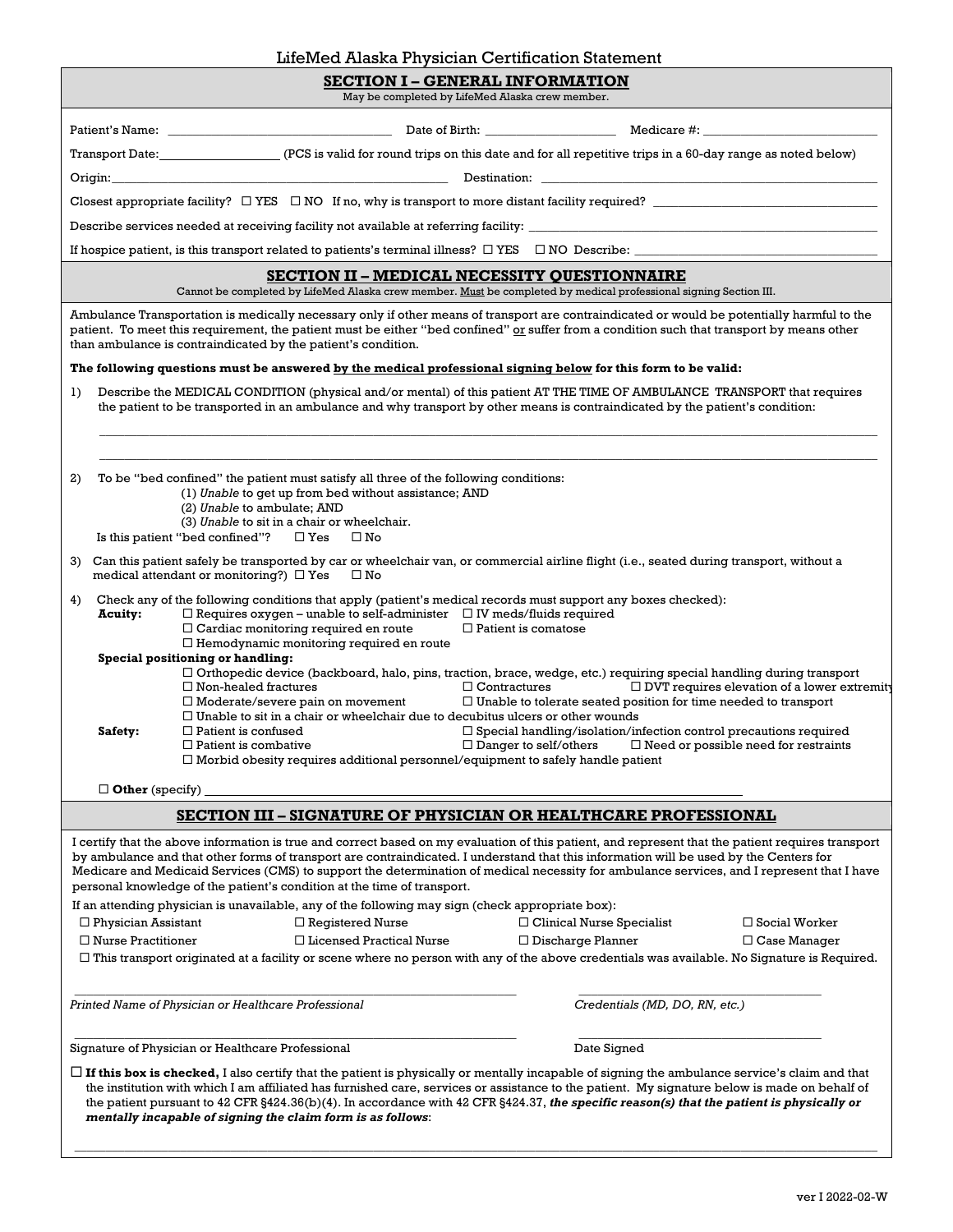|                                                                                                                                                                                                                                                                                                                                                                                                                                                                                                                           | miemed Alaska Physician Centincation Statement                                                                                                                                                                                                                                                                                                                                                                                                                                                                        |                                                                                                          |                                                    |  |  |  |
|---------------------------------------------------------------------------------------------------------------------------------------------------------------------------------------------------------------------------------------------------------------------------------------------------------------------------------------------------------------------------------------------------------------------------------------------------------------------------------------------------------------------------|-----------------------------------------------------------------------------------------------------------------------------------------------------------------------------------------------------------------------------------------------------------------------------------------------------------------------------------------------------------------------------------------------------------------------------------------------------------------------------------------------------------------------|----------------------------------------------------------------------------------------------------------|----------------------------------------------------|--|--|--|
| <b>SECTION I – GENERAL INFORMATION</b><br>May be completed by LifeMed Alaska crew member.                                                                                                                                                                                                                                                                                                                                                                                                                                 |                                                                                                                                                                                                                                                                                                                                                                                                                                                                                                                       |                                                                                                          |                                                    |  |  |  |
|                                                                                                                                                                                                                                                                                                                                                                                                                                                                                                                           |                                                                                                                                                                                                                                                                                                                                                                                                                                                                                                                       |                                                                                                          |                                                    |  |  |  |
|                                                                                                                                                                                                                                                                                                                                                                                                                                                                                                                           |                                                                                                                                                                                                                                                                                                                                                                                                                                                                                                                       |                                                                                                          |                                                    |  |  |  |
|                                                                                                                                                                                                                                                                                                                                                                                                                                                                                                                           | Transport Date: (PCS is valid for round trips on this date and for all repetitive trips in a 60-day range as noted below)                                                                                                                                                                                                                                                                                                                                                                                             |                                                                                                          |                                                    |  |  |  |
|                                                                                                                                                                                                                                                                                                                                                                                                                                                                                                                           |                                                                                                                                                                                                                                                                                                                                                                                                                                                                                                                       |                                                                                                          |                                                    |  |  |  |
|                                                                                                                                                                                                                                                                                                                                                                                                                                                                                                                           |                                                                                                                                                                                                                                                                                                                                                                                                                                                                                                                       |                                                                                                          |                                                    |  |  |  |
|                                                                                                                                                                                                                                                                                                                                                                                                                                                                                                                           |                                                                                                                                                                                                                                                                                                                                                                                                                                                                                                                       |                                                                                                          |                                                    |  |  |  |
|                                                                                                                                                                                                                                                                                                                                                                                                                                                                                                                           | If hospice patient, is this transport related to patients's terminal illness? $\Box$ YES $\Box$ NO Describe:                                                                                                                                                                                                                                                                                                                                                                                                          |                                                                                                          |                                                    |  |  |  |
|                                                                                                                                                                                                                                                                                                                                                                                                                                                                                                                           | <b>SECTION II – MEDICAL NECESSITY OUESTIONNAIRE</b>                                                                                                                                                                                                                                                                                                                                                                                                                                                                   |                                                                                                          |                                                    |  |  |  |
|                                                                                                                                                                                                                                                                                                                                                                                                                                                                                                                           | Cannot be completed by LifeMed Alaska crew member. Must be completed by medical professional signing Section III.                                                                                                                                                                                                                                                                                                                                                                                                     |                                                                                                          |                                                    |  |  |  |
|                                                                                                                                                                                                                                                                                                                                                                                                                                                                                                                           | Ambulance Transportation is medically necessary only if other means of transport are contraindicated or would be potentially harmful to the<br>patient. To meet this requirement, the patient must be either "bed confined" or suffer from a condition such that transport by means other<br>than ambulance is contraindicated by the patient's condition.                                                                                                                                                            |                                                                                                          |                                                    |  |  |  |
|                                                                                                                                                                                                                                                                                                                                                                                                                                                                                                                           | The following questions must be answered by the medical professional signing below for this form to be valid:                                                                                                                                                                                                                                                                                                                                                                                                         |                                                                                                          |                                                    |  |  |  |
| 1)                                                                                                                                                                                                                                                                                                                                                                                                                                                                                                                        | Describe the MEDICAL CONDITION (physical and/or mental) of this patient AT THE TIME OF AMBULANCE TRANSPORT that requires<br>the patient to be transported in an ambulance and why transport by other means is contraindicated by the patient's condition:                                                                                                                                                                                                                                                             |                                                                                                          |                                                    |  |  |  |
|                                                                                                                                                                                                                                                                                                                                                                                                                                                                                                                           |                                                                                                                                                                                                                                                                                                                                                                                                                                                                                                                       |                                                                                                          |                                                    |  |  |  |
| 2)                                                                                                                                                                                                                                                                                                                                                                                                                                                                                                                        | To be "bed confined" the patient must satisfy all three of the following conditions:<br>(1) Unable to get up from bed without assistance; AND<br>(2) Unable to ambulate; AND<br>(3) Unable to sit in a chair or wheelchair.                                                                                                                                                                                                                                                                                           |                                                                                                          |                                                    |  |  |  |
|                                                                                                                                                                                                                                                                                                                                                                                                                                                                                                                           | Is this patient "bed confined"? $\Box$ Yes<br>$\square$ No                                                                                                                                                                                                                                                                                                                                                                                                                                                            |                                                                                                          |                                                    |  |  |  |
| 3)                                                                                                                                                                                                                                                                                                                                                                                                                                                                                                                        | Can this patient safely be transported by car or wheelchair van, or commercial airline flight (i.e., seated during transport, without a<br>medical attendant or monitoring?) $\Box$ Yes<br>$\square$ No                                                                                                                                                                                                                                                                                                               |                                                                                                          |                                                    |  |  |  |
| Check any of the following conditions that apply (patient's medical records must support any boxes checked):<br>4)<br>$\Box$ Requires oxygen – unable to self-administer $\Box$ IV meds/fluids required<br>Acuity:<br>$\Box$ Cardiac monitoring required en route<br>$\Box$ Patient is comatose<br>$\Box$ Hemodynamic monitoring required en route                                                                                                                                                                        |                                                                                                                                                                                                                                                                                                                                                                                                                                                                                                                       |                                                                                                          |                                                    |  |  |  |
| Special positioning or handling:                                                                                                                                                                                                                                                                                                                                                                                                                                                                                          | □ Orthopedic device (backboard, halo, pins, traction, brace, wedge, etc.) requiring special handling during transport<br>$\Box$ Non-healed fractures<br>$\Box$ Moderate/severe pain on movement<br>$\Box$ Unable to sit in a chair or wheelchair due to decubitus ulcers or other wounds                                                                                                                                                                                                                              | $\Box$ Contractures<br>$\Box$ Unable to tolerate seated position for time needed to transport            | $\Box$ DVT requires elevation of a lower extremity |  |  |  |
| Safety:                                                                                                                                                                                                                                                                                                                                                                                                                                                                                                                   | $\Box$ Patient is confused<br>$\Box$ Patient is combative<br>$\Box$ Morbid obesity requires additional personnel/equipment to safely handle patient                                                                                                                                                                                                                                                                                                                                                                   | $\Box$ Special handling/isolation/infection control precautions required<br>$\Box$ Danger to self/others | $\Box$ Need or possible need for restraints        |  |  |  |
| $\Box$ Other (specify)                                                                                                                                                                                                                                                                                                                                                                                                                                                                                                    |                                                                                                                                                                                                                                                                                                                                                                                                                                                                                                                       |                                                                                                          |                                                    |  |  |  |
|                                                                                                                                                                                                                                                                                                                                                                                                                                                                                                                           | <b>SECTION III - SIGNATURE OF PHYSICIAN OR HEALTHCARE PROFESSIONAL</b>                                                                                                                                                                                                                                                                                                                                                                                                                                                |                                                                                                          |                                                    |  |  |  |
|                                                                                                                                                                                                                                                                                                                                                                                                                                                                                                                           |                                                                                                                                                                                                                                                                                                                                                                                                                                                                                                                       |                                                                                                          |                                                    |  |  |  |
|                                                                                                                                                                                                                                                                                                                                                                                                                                                                                                                           | I certify that the above information is true and correct based on my evaluation of this patient, and represent that the patient requires transport<br>by ambulance and that other forms of transport are contraindicated. I understand that this information will be used by the Centers for<br>Medicare and Medicaid Services (CMS) to support the determination of medical necessity for ambulance services, and I represent that I have<br>personal knowledge of the patient's condition at the time of transport. |                                                                                                          |                                                    |  |  |  |
|                                                                                                                                                                                                                                                                                                                                                                                                                                                                                                                           | If an attending physician is unavailable, any of the following may sign (check appropriate box):                                                                                                                                                                                                                                                                                                                                                                                                                      |                                                                                                          |                                                    |  |  |  |
| $\Box$ Physician Assistant                                                                                                                                                                                                                                                                                                                                                                                                                                                                                                | $\Box$<br>Registered Nurse                                                                                                                                                                                                                                                                                                                                                                                                                                                                                            | $\Box$ Clinical Nurse Specialist                                                                         | $\Box$ Social Worker                               |  |  |  |
| $\Box$ Nurse Practitioner                                                                                                                                                                                                                                                                                                                                                                                                                                                                                                 | $\Box$ Licensed Practical Nurse                                                                                                                                                                                                                                                                                                                                                                                                                                                                                       | $\Box$ Discharge Planner                                                                                 | $\Box$ Case Manager                                |  |  |  |
|                                                                                                                                                                                                                                                                                                                                                                                                                                                                                                                           | $\Box$ This transport originated at a facility or scene where no person with any of the above credentials was available. No Signature is Required.                                                                                                                                                                                                                                                                                                                                                                    |                                                                                                          |                                                    |  |  |  |
|                                                                                                                                                                                                                                                                                                                                                                                                                                                                                                                           | Printed Name of Physician or Healthcare Professional                                                                                                                                                                                                                                                                                                                                                                                                                                                                  | Credentials (MD, DO, RN, etc.)                                                                           |                                                    |  |  |  |
|                                                                                                                                                                                                                                                                                                                                                                                                                                                                                                                           | Signature of Physician or Healthcare Professional                                                                                                                                                                                                                                                                                                                                                                                                                                                                     | Date Signed                                                                                              |                                                    |  |  |  |
| $\Box$ If this box is checked, I also certify that the patient is physically or mentally incapable of signing the ambulance service's claim and that<br>the institution with which I am affiliated has furnished care, services or assistance to the patient. My signature below is made on behalf of<br>the patient pursuant to 42 CFR $\S424.36(b)(4)$ . In accordance with 42 CFR $\S424.37$ , the specific reason(s) that the patient is physically or<br>mentally incapable of signing the claim form is as follows: |                                                                                                                                                                                                                                                                                                                                                                                                                                                                                                                       |                                                                                                          |                                                    |  |  |  |

 $\_$  , and the state of the state of the state of the state of the state of the state of the state of the state of the state of the state of the state of the state of the state of the state of the state of the state of the